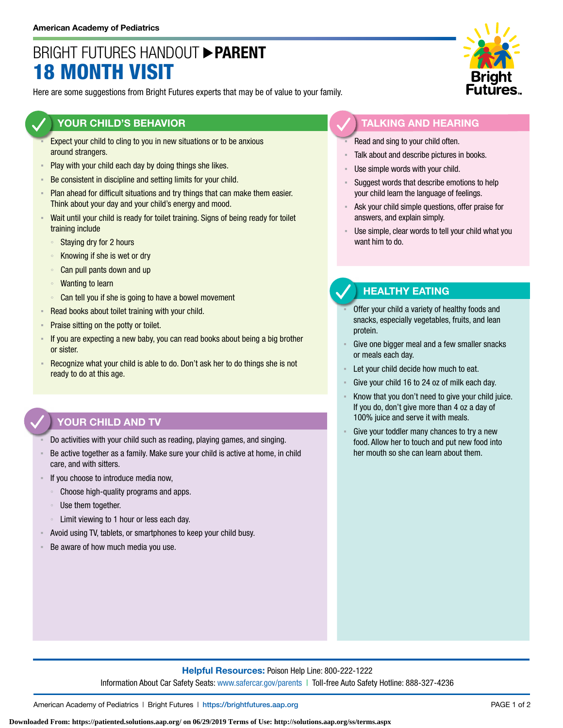# BRIGHT FUTURES HANDOUT **PARENT** 18 MONTH VISIT

Here are some suggestions from Bright Futures experts that may be of value to your family.

### **YOUR CHILD'S BEHAVIOR**

- Expect your child to cling to you in new situations or to be anxious around strangers.
- **Play with your child each day by doing things she likes.**
- Be consistent in discipline and setting limits for your child.
- Plan ahead for difficult situations and try things that can make them easier. Think about your day and your child's energy and mood.
- Wait until your child is ready for toilet training. Signs of being ready for toilet training include
	- Staying dry for 2 hours
	- Knowing if she is wet or dry
	- Can pull pants down and up
	- Wanting to learn
	- Can tell you if she is going to have a bowel movement
- Read books about toilet training with your child.
- **Praise sitting on the potty or toilet.**
- If you are expecting a new baby, you can read books about being a big brother or sister.
- **EXECOGNIZE WHAT YOUT CHILD IS ADLE TO ADDUCE 10 OF THE UP THE UP THE UP THE UP THE UP THE UP THE IS NOT THE ISL** ready to do at this age.

## **YOUR CHILD AND TV**

- Do activities with your child such as reading, playing games, and singing.
- Be active together as a family. Make sure your child is active at home, in child care, and with sitters.
- If you choose to introduce media now,
	- Choose high-quality programs and apps.
	- Use them together.
	- Limit viewing to 1 hour or less each day.
- Avoid using TV, tablets, or smartphones to keep your child busy.
- Be aware of how much media you use.



#### **TALKING AND HEARING**

- Read and sing to your child often.
- Talk about and describe pictures in books.
- Use simple words with your child.
- Suggest words that describe emotions to help your child learn the language of feelings.
- Ask your child simple questions, offer praise for answers, and explain simply.
- Use simple, clear words to tell your child what you want him to do.

### **HEALTHY EATING**

- Offer your child a variety of healthy foods and snacks, especially vegetables, fruits, and lean protein.
- Give one bigger meal and a few smaller snacks or meals each day.
- Let your child decide how much to eat.
- Give your child 16 to 24 oz of milk each day.
- Know that you don't need to give your child juice. If you do, don't give more than 4 oz a day of 100% juice and serve it with meals.
- Give your toddler many chances to try a new food. Allow her to touch and put new food into her mouth so she can learn about them.

### **Helpful Resources:** Poison Help Line: 800-222-1222 Information About Car Safety Seats: [www.safercar.gov/parents](https://www.nhtsa.gov/parents-and-caregivers) | Toll-free Auto Safety Hotline: 888-327-4236

American Academy of Pediatrics | Bright Futures | https://[brightfutures.aap.org](https://brightfutures.aap.org/Pages/default.aspx) PAGE 1 of 2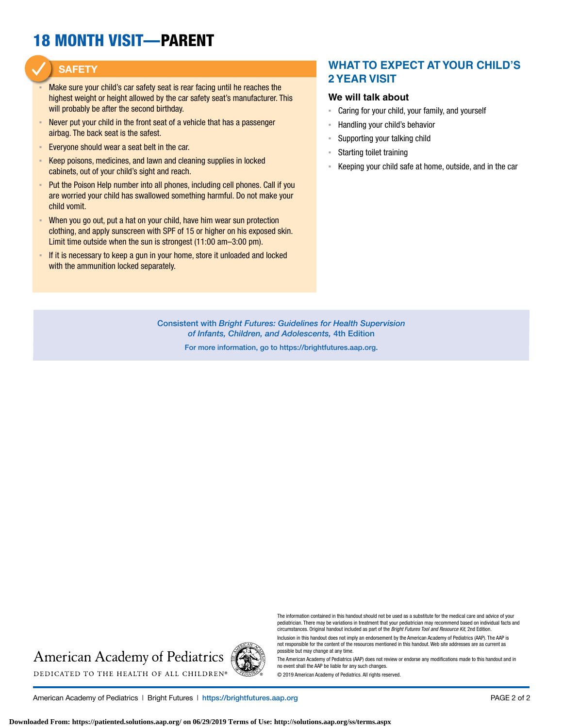# 18 MONTH VISIT—PARENT

### **SAFETY**

- Make sure your child's car safety seat is rear facing until he reaches the highest weight or height allowed by the car safety seat's manufacturer. This will probably be after the second birthday.
- Never put your child in the front seat of a vehicle that has a passenger airbag. The back seat is the safest.
- Everyone should wear a seat belt in the car.
- Keep poisons, medicines, and lawn and cleaning supplies in locked cabinets, out of your child's sight and reach.
- Put the Poison Help number into all phones, including cell phones. Call if you are worried your child has swallowed something harmful. Do not make your child vomit.
- When you go out, put a hat on your child, have him wear sun protection clothing, and apply sunscreen with SPF of 15 or higher on his exposed skin. Limit time outside when the sun is strongest (11:00 am–3:00 pm).
- **EXTE:** If it is necessary to keep a gun in your home, store it unloaded and locked with the ammunition locked separately.

### **WHAT TO EXPECT AT YOUR CHILD'S 2 YEAR VISIT**

#### **We will talk about**

- Caring for your child, your family, and yourself
- Handling your child's behavior
- Supporting your talking child
- Starting toilet training
- Keeping your child safe at home, outside, and in the car

Consistent with *Bright Futures: Guidelines for Health Supervision of Infants, Children, and Adolescents,* 4th Edition

For more information, go to https:/[/brightfutures.aap.org.](https://brightfutures.aap.org/Pages/default.aspx)

# **American Academy of Pediatrics** DEDICATED TO THE HEALTH OF ALL CHILDREN®



pediatrician. There may be variations in treatment that your pediatrician may recommend based on individual facts and circumstances. Original handout included as part of the *Bright Futures Tool and Resource Kit*, 2nd Edition. Inclusion in this handout does not imply an endorsement by the American Academy of Pediatrics (AAP). The AAP is

not responsible for the content of the resources mentioned in this handout. Web site addresses are as current as possible but may change at any time.

The American Academy of Pediatrics (AAP) does not review or endorse any modifications made to this handout and in no event shall the AAP be liable for any such changes.

The information contained in this handout should not be used as a substitute for the medical care and advice of your

© 2019 American Academy of Pediatrics. All rights reserved.

American Academy of Pediatrics | Bright Futures | https:/[/brightfutures.aap.org](https://brightfutures.aap.org/Pages/default.aspx) PAGE 2 of 2